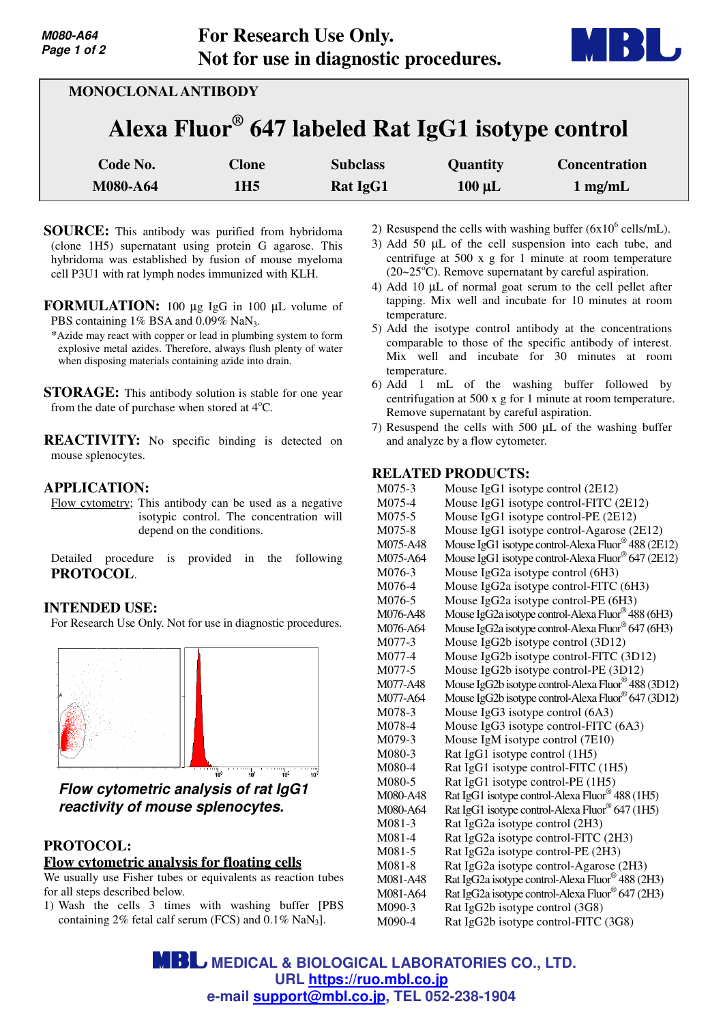

| <b>MONOCLONAL ANTIBODY</b>                                    |                                 |                             |                                |                                           |  |
|---------------------------------------------------------------|---------------------------------|-----------------------------|--------------------------------|-------------------------------------------|--|
| Alexa Fluor <sup>®</sup> 647 labeled Rat IgG1 isotype control |                                 |                             |                                |                                           |  |
| Code No.<br>M080-A64                                          | <b>Clone</b><br>1H <sub>5</sub> | <b>Subclass</b><br>Rat IgG1 | <b>Quantity</b><br>$100 \mu L$ | <b>Concentration</b><br>$1 \text{ mg/mL}$ |  |

- **SOURCE:** This antibody was purified from hybridoma (clone 1H5) supernatant using protein G agarose. This hybridoma was established by fusion of mouse myeloma cell P3U1 with rat lymph nodes immunized with KLH.
- **FORMULATION:** 100 µg IgG in 100 µL volume of PBS containing 1% BSA and 0.09% NaN<sub>3</sub>.
	- \*Azide may react with copper or lead in plumbing system to form explosive metal azides. Therefore, always flush plenty of water when disposing materials containing azide into drain.
- **STORAGE:** This antibody solution is stable for one year from the date of purchase when stored at  $4^{\circ}$ C.
- **REACTIVITY:** No specific binding is detected on mouse splenocytes.

## **APPLICATION:**

Flow cytometry; This antibody can be used as a negative isotypic control. The concentration will depend on the conditions.

Detailed procedure is provided in the following **PROTOCOL**.

## **INTENDED USE:**

For Research Use Only. Not for use in diagnostic procedures.



**Flow cytometric analysis of rat IgG1 reactivity of mouse splenocytes.**

# **PROTOCOL:**

### **Flow cytometric analysis for floating cells**

We usually use Fisher tubes or equivalents as reaction tubes for all steps described below.

1) Wash the cells 3 times with washing buffer [PBS containing  $2\%$  fetal calf serum (FCS) and  $0.1\%$  NaN<sub>3</sub>].

- 2) Resuspend the cells with washing buffer  $(6x10^6 \text{ cells/mL})$ .
- 3) Add 50 µL of the cell suspension into each tube, and centrifuge at 500 x g for 1 minute at room temperature  $(20~25<sup>o</sup>C)$ . Remove supernatant by careful aspiration.
- 4) Add 10 µL of normal goat serum to the cell pellet after tapping. Mix well and incubate for 10 minutes at room temperature.
- 5) Add the isotype control antibody at the concentrations comparable to those of the specific antibody of interest. Mix well and incubate for 30 minutes at room temperature.
- 6) Add 1 mL of the washing buffer followed by centrifugation at 500 x g for 1 minute at room temperature. Remove supernatant by careful aspiration.
- 7) Resuspend the cells with 500 µL of the washing buffer and analyze by a flow cytometer.

## **RELATED PRODUCTS:**

| M075-3   | Mouse IgG1 isotype control (2E12)                   |
|----------|-----------------------------------------------------|
| M075-4   | Mouse IgG1 isotype control-FITC (2E12)              |
| M075-5   | Mouse IgG1 isotype control-PE (2E12)                |
| M075-8   | Mouse IgG1 isotype control-Agarose (2E12)           |
| M075-A48 | Mouse IgG1 isotype control-Alexa Fluor® 488 (2E12)  |
| M075-A64 | Mouse IgG1 isotype control-Alexa Fluor® 647 (2E12)  |
| M076-3   | Mouse IgG2a isotype control (6H3)                   |
| M076-4   | Mouse IgG2a isotype control-FITC (6H3)              |
| M076-5   | Mouse IgG2a isotype control-PE (6H3)                |
| M076-A48 | Mouse IgG2a isotype control-Alexa Fluor® 488 (6H3)  |
| M076-A64 | Mouse IgG2a isotype control-Alexa Fluor® 647 (6H3)  |
| M077-3   | Mouse IgG2b isotype control (3D12)                  |
| M077-4   | Mouse IgG2b isotype control-FITC (3D12)             |
| M077-5   | Mouse IgG2b isotype control-PE (3D12)               |
| M077-A48 | Mouse IgG2b isotype control-Alexa Fluor® 488 (3D12) |
| M077-A64 | Mouse IgG2b isotype control-Alexa Fluor® 647 (3D12) |
| M078-3   | Mouse IgG3 isotype control (6A3)                    |
| M078-4   | Mouse IgG3 isotype control-FITC (6A3)               |
| M079-3   | Mouse IgM isotype control (7E10)                    |
| M080-3   | Rat IgG1 isotype control (1H5)                      |
| M080-4   | Rat IgG1 isotype control-FITC (1H5)                 |
| M080-5   | Rat IgG1 isotype control-PE (1H5)                   |
| M080-A48 | Rat IgG1 isotype control-Alexa Fluor® 488 (1H5)     |
| M080-A64 | Rat IgG1 isotype control-Alexa Fluor® 647 (1H5)     |
| M081-3   | Rat IgG2a isotype control (2H3)                     |
| $M081-4$ | Rat IgG2a isotype control-FITC (2H3)                |
| M081-5   | Rat IgG2a isotype control-PE (2H3)                  |
| M081-8   | Rat IgG2a isotype control-Agarose (2H3)             |
| M081-A48 | Rat IgG2a isotype control-Alexa Fluor® 488 (2H3)    |
| M081-A64 | Rat IgG2a isotype control-Alexa Fluor® 647 (2H3)    |
| M090-3   | Rat IgG2b isotype control (3G8)                     |
| M090-4   | Rat IgG2b isotype control-FITC (3G8)                |

**MBL** MEDICAL & BIOLOGICAL LABORATORIES CO., LTD. **URL https://ruo.mbl.co.jp e-mail support@mbl.co.jp, TEL 052-238-1904**